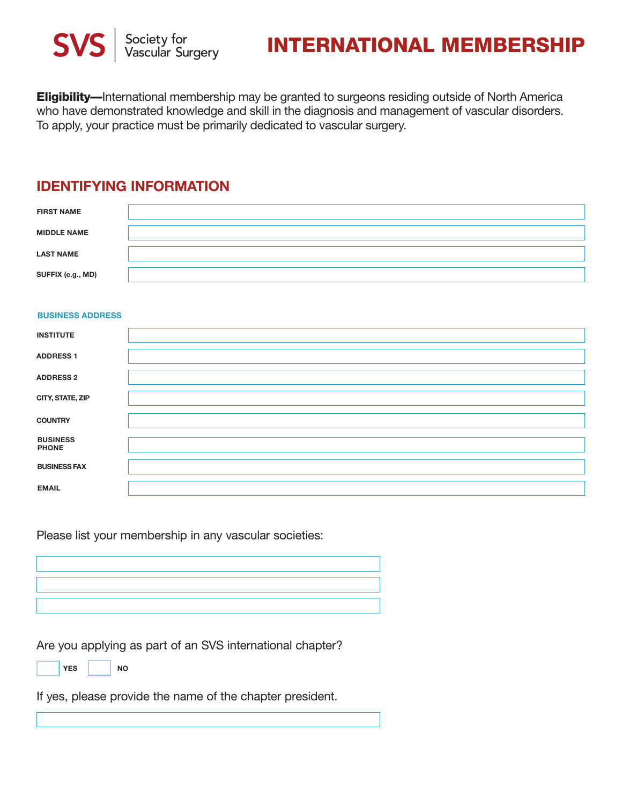

# **INTERNATIONAL MEMBERSHIP**

**Eligibility—**International membership may be granted to surgeons residing outside of North America who have demonstrated knowledge and skill in the diagnosis and management of vascular disorders. To apply, your practice must be primarily dedicated to vascular surgery.

#### **IDENTIFYING INFORMATION**

| <b>FIRST NAME</b>  |  |
|--------------------|--|
| <b>MIDDLE NAME</b> |  |
| <b>LAST NAME</b>   |  |
| SUFFIX (e.g., MD)  |  |

#### **BUSINESS ADDRESS**

| <b>INSTITUTE</b>                |  |
|---------------------------------|--|
| <b>ADDRESS 1</b>                |  |
| <b>ADDRESS 2</b>                |  |
| CITY, STATE, ZIP                |  |
| <b>COUNTRY</b>                  |  |
| <b>BUSINESS</b><br><b>PHONE</b> |  |
| <b>BUSINESS FAX</b>             |  |
| <b>EMAIL</b>                    |  |

Please list your membership in any vascular societies:

Are you applying as part of an SVS international chapter?

YES | NO

If yes, please provide the name of the chapter president.